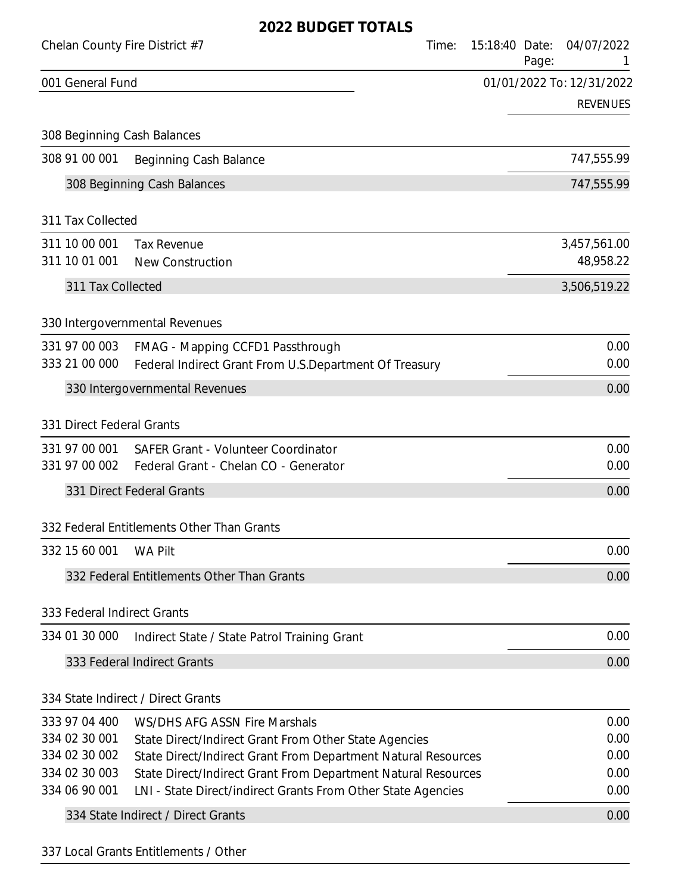|                                | Chelan County Fire District #7                                                                                                 | Time: | 15:18:40 Date: | Page: | 04/07/2022                |
|--------------------------------|--------------------------------------------------------------------------------------------------------------------------------|-------|----------------|-------|---------------------------|
| 001 General Fund               |                                                                                                                                |       |                |       | 01/01/2022 To: 12/31/2022 |
|                                |                                                                                                                                |       |                |       | <b>REVENUES</b>           |
|                                | 308 Beginning Cash Balances                                                                                                    |       |                |       |                           |
| 308 91 00 001                  | Beginning Cash Balance                                                                                                         |       |                |       | 747,555.99                |
|                                | 308 Beginning Cash Balances                                                                                                    |       |                |       | 747,555.99                |
| 311 Tax Collected              |                                                                                                                                |       |                |       |                           |
| 311 10 00 001                  | <b>Tax Revenue</b>                                                                                                             |       |                |       | 3,457,561.00              |
| 311 10 01 001                  | <b>New Construction</b>                                                                                                        |       |                |       | 48,958.22                 |
| 311 Tax Collected              |                                                                                                                                |       |                |       | 3,506,519.22              |
|                                | 330 Intergovernmental Revenues                                                                                                 |       |                |       |                           |
| 331 97 00 003                  |                                                                                                                                |       |                |       | 0.00                      |
| 333 21 00 000                  | FMAG - Mapping CCFD1 Passthrough<br>Federal Indirect Grant From U.S.Department Of Treasury                                     |       |                |       | 0.00                      |
|                                | 330 Intergovernmental Revenues                                                                                                 |       |                |       | 0.00                      |
|                                |                                                                                                                                |       |                |       |                           |
| 331 Direct Federal Grants      |                                                                                                                                |       |                |       |                           |
| 331 97 00 001                  | <b>SAFER Grant - Volunteer Coordinator</b>                                                                                     |       |                |       | 0.00                      |
| 331 97 00 002                  | Federal Grant - Chelan CO - Generator                                                                                          |       |                |       | 0.00                      |
|                                | 331 Direct Federal Grants                                                                                                      |       |                |       | 0.00                      |
|                                | 332 Federal Entitlements Other Than Grants                                                                                     |       |                |       |                           |
| 332 15 60 001                  | <b>WA Pilt</b>                                                                                                                 |       |                |       | 0.00                      |
|                                | 332 Federal Entitlements Other Than Grants                                                                                     |       |                |       | 0.00                      |
| 333 Federal Indirect Grants    |                                                                                                                                |       |                |       |                           |
| 334 01 30 000                  | Indirect State / State Patrol Training Grant                                                                                   |       |                |       | 0.00                      |
|                                | 333 Federal Indirect Grants                                                                                                    |       |                |       | 0.00                      |
|                                |                                                                                                                                |       |                |       |                           |
|                                | 334 State Indirect / Direct Grants                                                                                             |       |                |       |                           |
| 333 97 04 400                  | WS/DHS AFG ASSN Fire Marshals                                                                                                  |       |                |       | 0.00                      |
| 334 02 30 001<br>334 02 30 002 | State Direct/Indirect Grant From Other State Agencies                                                                          |       |                |       | 0.00<br>0.00              |
| 334 02 30 003                  | State Direct/Indirect Grant From Department Natural Resources<br>State Direct/Indirect Grant From Department Natural Resources |       |                |       | 0.00                      |
| 334 06 90 001                  | LNI - State Direct/indirect Grants From Other State Agencies                                                                   |       |                |       | 0.00                      |
|                                | 334 State Indirect / Direct Grants                                                                                             |       |                |       | 0.00                      |
|                                |                                                                                                                                |       |                |       |                           |

337 Local Grants Entitlements / Other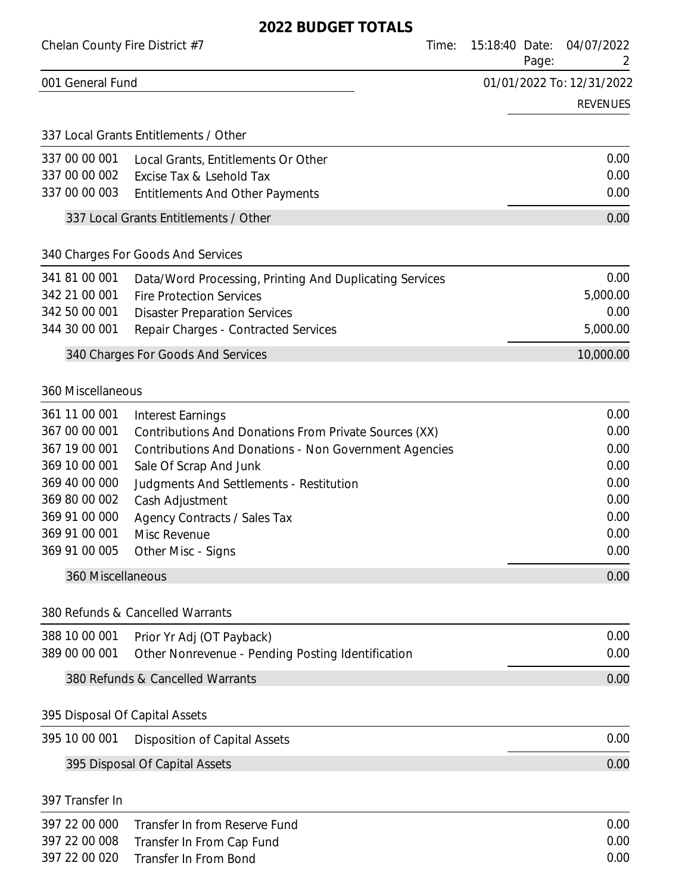| Chelan County Fire District #7 | Time:                                                        | 04/07/2022<br>15:18:40 Date:<br>Page:<br>2 |
|--------------------------------|--------------------------------------------------------------|--------------------------------------------|
| 001 General Fund               |                                                              | 01/01/2022 To: 12/31/2022                  |
|                                |                                                              | <b>REVENUES</b>                            |
|                                | 337 Local Grants Entitlements / Other                        |                                            |
| 337 00 00 001                  | Local Grants, Entitlements Or Other                          | 0.00                                       |
| 337 00 00 002                  | Excise Tax & Lsehold Tax                                     | 0.00                                       |
| 337 00 00 003                  | <b>Entitlements And Other Payments</b>                       | 0.00                                       |
|                                | 337 Local Grants Entitlements / Other                        | 0.00                                       |
|                                | 340 Charges For Goods And Services                           |                                            |
| 341 81 00 001                  | Data/Word Processing, Printing And Duplicating Services      | 0.00                                       |
| 342 21 00 001                  | <b>Fire Protection Services</b>                              | 5,000.00                                   |
| 342 50 00 001<br>344 30 00 001 | <b>Disaster Preparation Services</b>                         | 0.00<br>5,000.00                           |
|                                | Repair Charges - Contracted Services                         |                                            |
|                                | 340 Charges For Goods And Services                           | 10,000.00                                  |
| 360 Miscellaneous              |                                                              |                                            |
| 361 11 00 001                  | Interest Earnings                                            | 0.00                                       |
| 367 00 00 001                  | Contributions And Donations From Private Sources (XX)        | 0.00                                       |
| 367 19 00 001                  | <b>Contributions And Donations - Non Government Agencies</b> | 0.00                                       |
| 369 10 00 001<br>369 40 00 000 | Sale Of Scrap And Junk                                       | 0.00<br>0.00                               |
| 369 80 00 002                  | Judgments And Settlements - Restitution<br>Cash Adjustment   | 0.00                                       |
| 369 91 00 000                  | Agency Contracts / Sales Tax                                 | 0.00                                       |
| 369 91 00 001                  | Misc Revenue                                                 | 0.00                                       |
| 369 91 00 005                  | Other Misc - Signs                                           | 0.00                                       |
| 360 Miscellaneous              |                                                              | 0.00                                       |
|                                | 380 Refunds & Cancelled Warrants                             |                                            |
| 388 10 00 001                  | Prior Yr Adj (OT Payback)                                    | 0.00                                       |
| 389 00 00 001                  | Other Nonrevenue - Pending Posting Identification            | 0.00                                       |
|                                | 380 Refunds & Cancelled Warrants                             | 0.00                                       |
| 395 Disposal Of Capital Assets |                                                              |                                            |
| 395 10 00 001                  | <b>Disposition of Capital Assets</b>                         | 0.00                                       |
|                                | 395 Disposal Of Capital Assets                               | 0.00                                       |
| 397 Transfer In                |                                                              |                                            |
| 397 22 00 000                  | Transfer In from Reserve Fund                                | 0.00                                       |
| 397 22 00 008                  | Transfer In From Cap Fund                                    | 0.00                                       |
| 397 22 00 020                  | Transfer In From Bond                                        | 0.00                                       |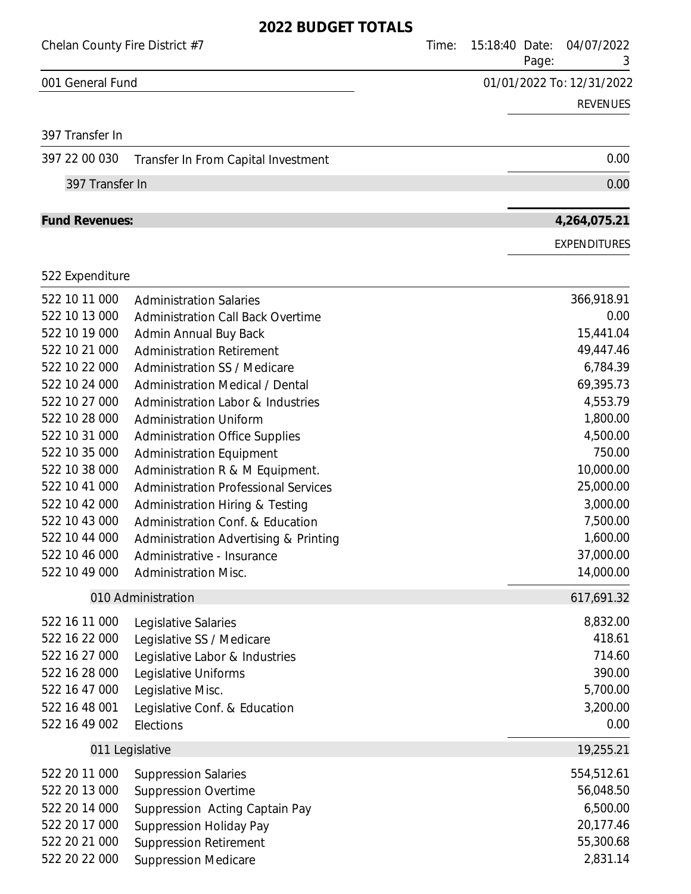| Chelan County Fire District #7 |                                                                          | Time: | 15:18:40 Date:<br>Page: | 04/07/2022<br>3           |
|--------------------------------|--------------------------------------------------------------------------|-------|-------------------------|---------------------------|
| 001 General Fund               |                                                                          |       |                         | 01/01/2022 To: 12/31/2022 |
|                                |                                                                          |       |                         | <b>REVENUES</b>           |
| 397 Transfer In                |                                                                          |       |                         |                           |
| 397 22 00 030                  | Transfer In From Capital Investment                                      |       |                         | 0.00                      |
| 397 Transfer In                |                                                                          |       |                         | 0.00                      |
| <b>Fund Revenues:</b>          |                                                                          |       |                         | 4,264,075.21              |
|                                |                                                                          |       |                         | <b>EXPENDITURES</b>       |
| 522 Expenditure                |                                                                          |       |                         |                           |
| 522 10 11 000                  | <b>Administration Salaries</b>                                           |       |                         | 366,918.91                |
| 522 10 13 000                  | <b>Administration Call Back Overtime</b>                                 |       |                         | 0.00                      |
| 522 10 19 000                  | Admin Annual Buy Back                                                    |       |                         | 15,441.04                 |
| 522 10 21 000                  | <b>Administration Retirement</b>                                         |       |                         | 49,447.46                 |
| 522 10 22 000                  | <b>Administration SS / Medicare</b>                                      |       |                         | 6,784.39                  |
| 522 10 24 000                  | <b>Administration Medical / Dental</b>                                   |       |                         | 69,395.73                 |
| 522 10 27 000<br>522 10 28 000 | Administration Labor & Industries                                        |       |                         | 4,553.79                  |
| 522 10 31 000                  | <b>Administration Uniform</b>                                            |       |                         | 1,800.00<br>4,500.00      |
| 522 10 35 000                  | <b>Administration Office Supplies</b><br><b>Administration Equipment</b> |       |                         | 750.00                    |
| 522 10 38 000                  | Administration R & M Equipment.                                          |       |                         | 10,000.00                 |
| 522 10 41 000                  | <b>Administration Professional Services</b>                              |       |                         | 25,000.00                 |
| 522 10 42 000                  | <b>Administration Hiring &amp; Testing</b>                               |       |                         | 3,000.00                  |
| 522 10 43 000                  | Administration Conf. & Education                                         |       |                         | 7,500.00                  |
| 522 10 44 000                  | Administration Advertising & Printing                                    |       |                         | 1,600.00                  |
| 522 10 46 000                  | Administrative - Insurance                                               |       |                         | 37,000.00                 |
| 522 10 49 000                  | <b>Administration Misc.</b>                                              |       |                         | 14,000.00                 |
|                                | 010 Administration                                                       |       |                         | 617,691.32                |
| 522 16 11 000                  | Legislative Salaries                                                     |       |                         | 8,832.00                  |
| 522 16 22 000                  | Legislative SS / Medicare                                                |       |                         | 418.61                    |
| 522 16 27 000                  | Legislative Labor & Industries                                           |       |                         | 714.60                    |
| 522 16 28 000                  | Legislative Uniforms                                                     |       |                         | 390.00                    |
| 522 16 47 000                  | Legislative Misc.                                                        |       |                         | 5,700.00                  |
| 522 16 48 001<br>522 16 49 002 | Legislative Conf. & Education<br>Elections                               |       |                         | 3,200.00<br>0.00          |
|                                |                                                                          |       |                         |                           |
|                                | 011 Legislative                                                          |       |                         | 19,255.21                 |
| 522 20 11 000                  | <b>Suppression Salaries</b>                                              |       |                         | 554,512.61                |
| 522 20 13 000                  | <b>Suppression Overtime</b>                                              |       |                         | 56,048.50                 |
| 522 20 14 000                  | Suppression Acting Captain Pay                                           |       |                         | 6,500.00                  |
| 522 20 17 000<br>522 20 21 000 | <b>Suppression Holiday Pay</b>                                           |       |                         | 20,177.46<br>55,300.68    |
| 522 20 22 000                  | <b>Suppression Retirement</b><br><b>Suppression Medicare</b>             |       |                         | 2,831.14                  |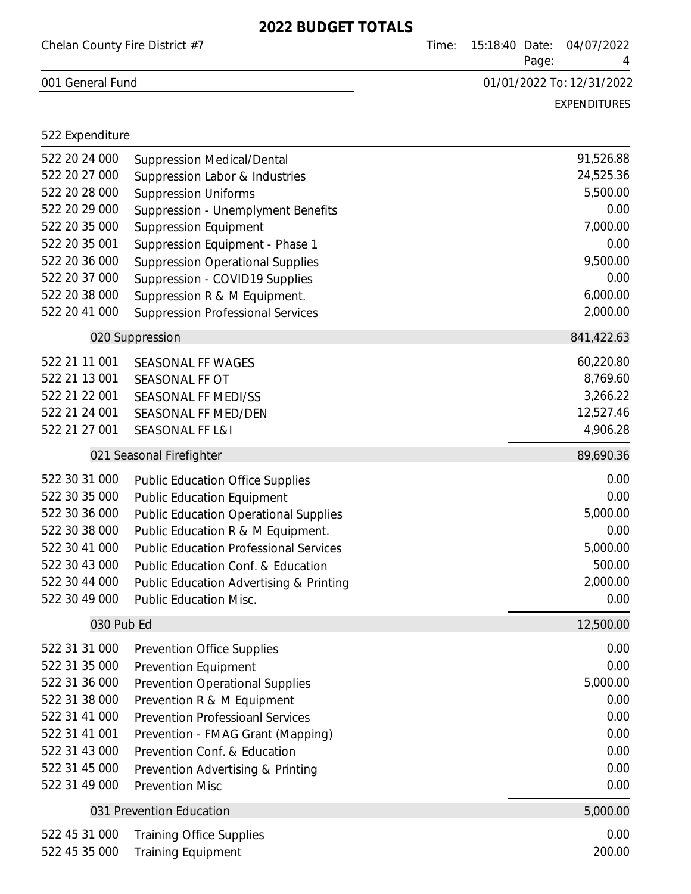| Chelan County Fire District #7 |                                               | Time: | 15:18:40 Date: | Page: | 04/07/2022                |
|--------------------------------|-----------------------------------------------|-------|----------------|-------|---------------------------|
| 001 General Fund               |                                               |       |                |       | 01/01/2022 To: 12/31/2022 |
|                                |                                               |       |                |       | <b>EXPENDITURES</b>       |
| 522 Expenditure                |                                               |       |                |       |                           |
| 522 20 24 000                  | <b>Suppression Medical/Dental</b>             |       |                |       | 91,526.88                 |
| 522 20 27 000                  | Suppression Labor & Industries                |       |                |       | 24,525.36                 |
| 522 20 28 000                  | <b>Suppression Uniforms</b>                   |       |                |       | 5,500.00                  |
| 522 20 29 000                  | Suppression - Unemplyment Benefits            |       |                |       | 0.00                      |
| 522 20 35 000                  | <b>Suppression Equipment</b>                  |       |                |       | 7,000.00                  |
| 522 20 35 001                  | Suppression Equipment - Phase 1               |       |                |       | 0.00                      |
| 522 20 36 000                  | <b>Suppression Operational Supplies</b>       |       |                |       | 9,500.00                  |
| 522 20 37 000                  | Suppression - COVID19 Supplies                |       |                |       | 0.00                      |
| 522 20 38 000                  | Suppression R & M Equipment.                  |       |                |       | 6,000.00                  |
| 522 20 41 000                  | <b>Suppression Professional Services</b>      |       |                |       | 2,000.00                  |
|                                | 020 Suppression                               |       |                |       | 841,422.63                |
| 522 21 11 001                  | <b>SEASONAL FF WAGES</b>                      |       |                |       | 60,220.80                 |
| 522 21 13 001                  | SEASONAL FF OT                                |       |                |       | 8,769.60                  |
| 522 21 22 001                  | SEASONAL FF MEDI/SS                           |       |                |       | 3,266.22                  |
| 522 21 24 001                  | SEASONAL FF MED/DEN                           |       |                |       | 12,527.46                 |
| 522 21 27 001                  | <b>SEASONAL FF L&amp;I</b>                    |       |                |       | 4,906.28                  |
|                                | 021 Seasonal Firefighter                      |       |                |       | 89,690.36                 |
| 522 30 31 000                  | <b>Public Education Office Supplies</b>       |       |                |       | 0.00                      |
| 522 30 35 000                  | <b>Public Education Equipment</b>             |       |                |       | 0.00                      |
| 522 30 36 000                  | <b>Public Education Operational Supplies</b>  |       |                |       | 5,000.00                  |
| 522 30 38 000                  | Public Education R & M Equipment.             |       |                |       | 0.00                      |
| 522 30 41 000                  | <b>Public Education Professional Services</b> |       |                |       | 5,000.00                  |
| 522 30 43 000                  | Public Education Conf. & Education            |       |                |       | 500.00                    |
| 522 30 44 000                  | Public Education Advertising & Printing       |       |                |       | 2,000.00                  |
| 522 30 49 000                  | <b>Public Education Misc.</b>                 |       |                |       | 0.00                      |
| 030 Pub Ed                     |                                               |       |                |       | 12,500.00                 |
| 522 31 31 000                  | <b>Prevention Office Supplies</b>             |       |                |       | 0.00                      |
| 522 31 35 000                  | Prevention Equipment                          |       |                |       | 0.00                      |
| 522 31 36 000                  | <b>Prevention Operational Supplies</b>        |       |                |       | 5,000.00                  |
| 522 31 38 000                  | Prevention R & M Equipment                    |       |                |       | 0.00                      |
| 522 31 41 000                  | <b>Prevention Professioanl Services</b>       |       |                |       | 0.00                      |
| 522 31 41 001                  | Prevention - FMAG Grant (Mapping)             |       |                |       | 0.00                      |
| 522 31 43 000                  | Prevention Conf. & Education                  |       |                |       | 0.00                      |
| 522 31 45 000                  | Prevention Advertising & Printing             |       |                |       | 0.00                      |
| 522 31 49 000                  | <b>Prevention Misc</b>                        |       |                |       | 0.00                      |
|                                | 031 Prevention Education                      |       |                |       | 5,000.00                  |
| 522 45 31 000                  | <b>Training Office Supplies</b>               |       |                |       | 0.00                      |
| 522 45 35 000                  | <b>Training Equipment</b>                     |       |                |       | 200.00                    |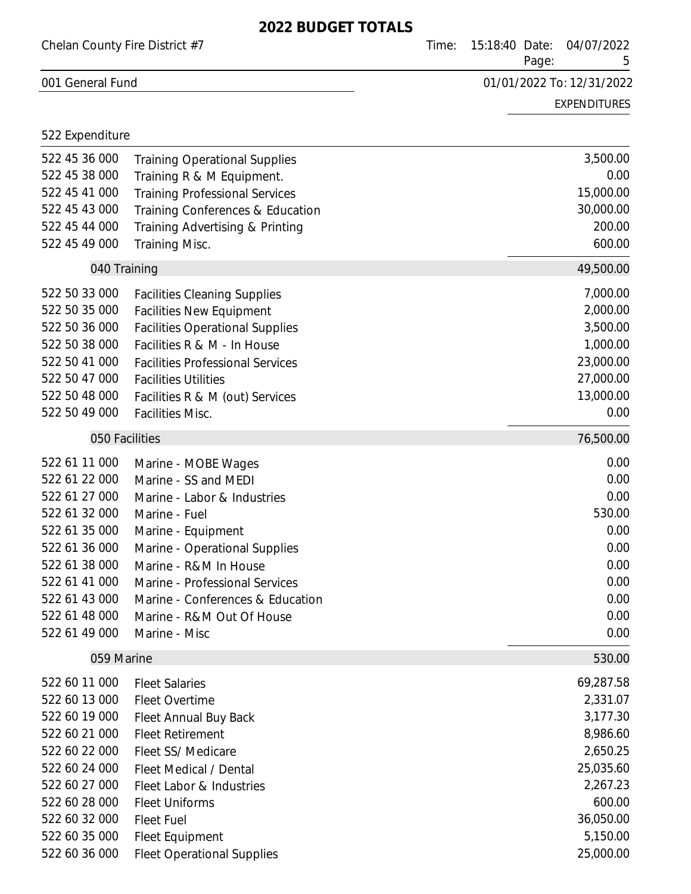| Chelan County Fire District #7 |                                         | Time: | 04/07/2022<br>15:18:40 Date:<br>Page: |                     |
|--------------------------------|-----------------------------------------|-------|---------------------------------------|---------------------|
| 001 General Fund               |                                         |       | 01/01/2022 To: 12/31/2022             |                     |
|                                |                                         |       |                                       | <b>EXPENDITURES</b> |
| 522 Expenditure                |                                         |       |                                       |                     |
| 522 45 36 000                  | <b>Training Operational Supplies</b>    |       |                                       | 3,500.00            |
| 522 45 38 000                  | Training R & M Equipment.               |       |                                       | 0.00                |
| 522 45 41 000                  | <b>Training Professional Services</b>   |       |                                       | 15,000.00           |
| 522 45 43 000                  | Training Conferences & Education        |       |                                       | 30,000.00           |
| 522 45 44 000                  | Training Advertising & Printing         |       |                                       | 200.00              |
| 522 45 49 000                  | Training Misc.                          |       |                                       | 600.00              |
| 040 Training                   |                                         |       |                                       | 49,500.00           |
| 522 50 33 000                  | <b>Facilities Cleaning Supplies</b>     |       |                                       | 7,000.00            |
| 522 50 35 000                  | <b>Facilities New Equipment</b>         |       |                                       | 2,000.00            |
| 522 50 36 000                  | <b>Facilities Operational Supplies</b>  |       |                                       | 3,500.00            |
| 522 50 38 000                  | Facilities R & M - In House             |       |                                       | 1,000.00            |
| 522 50 41 000                  | <b>Facilities Professional Services</b> |       |                                       | 23,000.00           |
| 522 50 47 000                  | <b>Facilities Utilities</b>             |       |                                       | 27,000.00           |
| 522 50 48 000                  | Facilities R & M (out) Services         |       |                                       | 13,000.00           |
| 522 50 49 000                  | <b>Facilities Misc.</b>                 |       |                                       | 0.00                |
| 050 Facilities                 |                                         |       |                                       | 76,500.00           |
| 522 61 11 000                  | Marine - MOBE Wages                     |       |                                       | 0.00                |
| 522 61 22 000                  | Marine - SS and MEDI                    |       |                                       | 0.00                |
| 522 61 27 000                  | Marine - Labor & Industries             |       |                                       | 0.00                |
| 522 61 32 000                  | Marine - Fuel                           |       |                                       | 530.00              |
| 522 61 35 000                  | Marine - Equipment                      |       |                                       | 0.00                |
| 522 61 36 000                  | Marine - Operational Supplies           |       |                                       | 0.00                |
| 522 61 38 000                  | Marine - R&M In House                   |       |                                       | 0.00                |
| 522 61 41 000                  | Marine - Professional Services          |       |                                       | 0.00                |
| 522 61 43 000                  | Marine - Conferences & Education        |       |                                       | 0.00                |
| 522 61 48 000                  | Marine - R&M Out Of House               |       |                                       | 0.00                |
| 522 61 49 000                  | Marine - Misc                           |       |                                       | 0.00                |
| 059 Marine                     |                                         |       |                                       | 530.00              |
| 522 60 11 000                  | <b>Fleet Salaries</b>                   |       |                                       | 69,287.58           |
| 522 60 13 000                  | <b>Fleet Overtime</b>                   |       |                                       | 2,331.07            |
| 522 60 19 000                  | Fleet Annual Buy Back                   |       |                                       | 3,177.30            |
| 522 60 21 000                  | <b>Fleet Retirement</b>                 |       |                                       | 8,986.60            |
| 522 60 22 000                  | Fleet SS/ Medicare                      |       |                                       | 2,650.25            |
| 522 60 24 000                  | Fleet Medical / Dental                  |       |                                       | 25,035.60           |
| 522 60 27 000                  | Fleet Labor & Industries                |       |                                       | 2,267.23            |
| 522 60 28 000                  | <b>Fleet Uniforms</b>                   |       |                                       | 600.00              |
| 522 60 32 000                  | <b>Fleet Fuel</b>                       |       |                                       | 36,050.00           |
| 522 60 35 000                  | Fleet Equipment                         |       |                                       | 5,150.00            |
| 522 60 36 000                  | <b>Fleet Operational Supplies</b>       |       |                                       | 25,000.00           |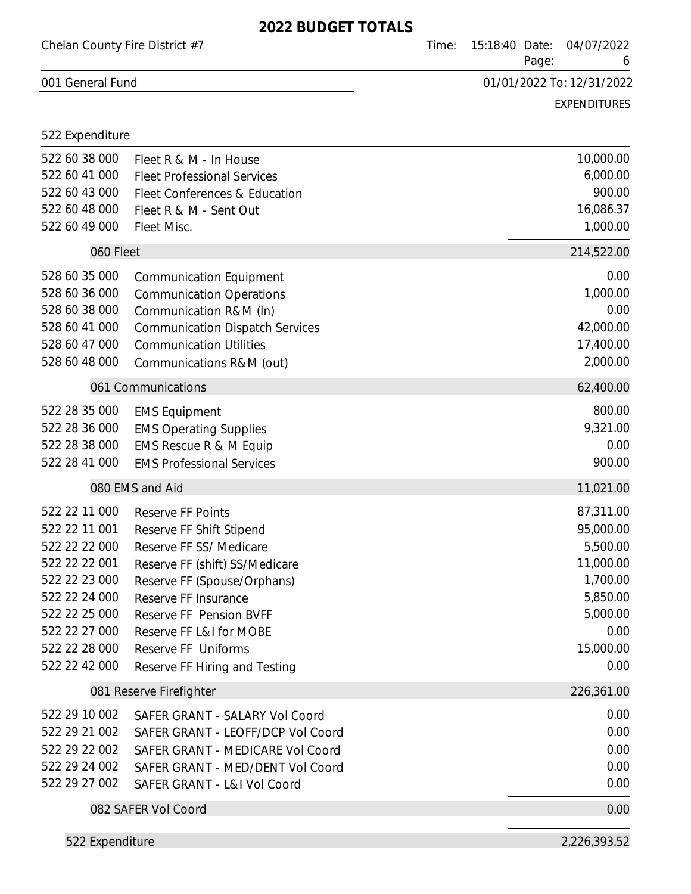| Chelan County Fire District #7 |                                                            | Time: | 04/07/2022<br>15:18:40 Date:<br>Page: |                           |  |
|--------------------------------|------------------------------------------------------------|-------|---------------------------------------|---------------------------|--|
| 001 General Fund               |                                                            |       |                                       | 01/01/2022 To: 12/31/2022 |  |
|                                |                                                            |       |                                       | <b>EXPENDITURES</b>       |  |
| 522 Expenditure                |                                                            |       |                                       |                           |  |
| 522 60 38 000                  | Fleet R & M - In House                                     |       |                                       | 10,000.00                 |  |
| 522 60 41 000                  | <b>Fleet Professional Services</b>                         |       |                                       | 6,000.00                  |  |
| 522 60 43 000                  | Fleet Conferences & Education                              |       |                                       | 900.00                    |  |
| 522 60 48 000                  | Fleet R & M - Sent Out                                     |       |                                       | 16,086.37                 |  |
| 522 60 49 000                  | Fleet Misc.                                                |       |                                       | 1,000.00                  |  |
| 060 Fleet                      |                                                            |       |                                       | 214,522.00                |  |
| 528 60 35 000                  | <b>Communication Equipment</b>                             |       |                                       | 0.00                      |  |
| 528 60 36 000                  | <b>Communication Operations</b>                            |       |                                       | 1,000.00                  |  |
| 528 60 38 000                  | Communication R&M (In)                                     |       |                                       | 0.00                      |  |
| 528 60 41 000                  | <b>Communication Dispatch Services</b>                     |       |                                       | 42,000.00                 |  |
| 528 60 47 000<br>528 60 48 000 | <b>Communication Utilities</b>                             |       |                                       | 17,400.00<br>2,000.00     |  |
|                                | Communications R&M (out)                                   |       |                                       |                           |  |
|                                | 061 Communications                                         |       |                                       | 62,400.00                 |  |
| 522 28 35 000                  | <b>EMS Equipment</b>                                       |       |                                       | 800.00                    |  |
| 522 28 36 000<br>522 28 38 000 | <b>EMS Operating Supplies</b>                              |       |                                       | 9,321.00<br>0.00          |  |
| 522 28 41 000                  | EMS Rescue R & M Equip<br><b>EMS Professional Services</b> |       |                                       | 900.00                    |  |
|                                |                                                            |       |                                       |                           |  |
|                                | 080 EMS and Aid                                            |       |                                       | 11,021.00                 |  |
| 522 22 11 000                  | <b>Reserve FF Points</b>                                   |       |                                       | 87,311.00                 |  |
| 522 22 11 001                  | Reserve FF Shift Stipend                                   |       |                                       | 95,000.00                 |  |
| 522 22 22 000                  | Reserve FF SS/ Medicare                                    |       |                                       | 5,500.00                  |  |
| 522 22 22 001<br>522 22 23 000 | Reserve FF (shift) SS/Medicare                             |       |                                       | 11,000.00<br>1,700.00     |  |
| 522 22 24 000                  | Reserve FF (Spouse/Orphans)<br>Reserve FF Insurance        |       |                                       | 5,850.00                  |  |
| 522 22 25 000                  | Reserve FF Pension BVFF                                    |       |                                       | 5,000.00                  |  |
| 522 22 27 000                  | Reserve FF L&I for MOBE                                    |       |                                       | 0.00                      |  |
| 522 22 28 000                  | Reserve FF Uniforms                                        |       |                                       | 15,000.00                 |  |
| 522 22 42 000                  | Reserve FF Hiring and Testing                              |       |                                       | 0.00                      |  |
|                                | 081 Reserve Firefighter                                    |       |                                       | 226,361.00                |  |
| 522 29 10 002                  | SAFER GRANT - SALARY Vol Coord                             |       |                                       | 0.00                      |  |
| 522 29 21 002                  | SAFER GRANT - LEOFF/DCP Vol Coord                          |       |                                       | 0.00                      |  |
| 522 29 22 002                  | SAFER GRANT - MEDICARE Vol Coord                           |       |                                       | 0.00                      |  |
| 522 29 24 002                  | SAFER GRANT - MED/DENT Vol Coord                           |       |                                       | 0.00                      |  |
| 522 29 27 002                  | SAFER GRANT - L&I Vol Coord                                |       |                                       | 0.00                      |  |
|                                | 082 SAFER Vol Coord                                        |       |                                       | 0.00                      |  |
|                                |                                                            |       |                                       |                           |  |

522 Expenditure 2,226,393.52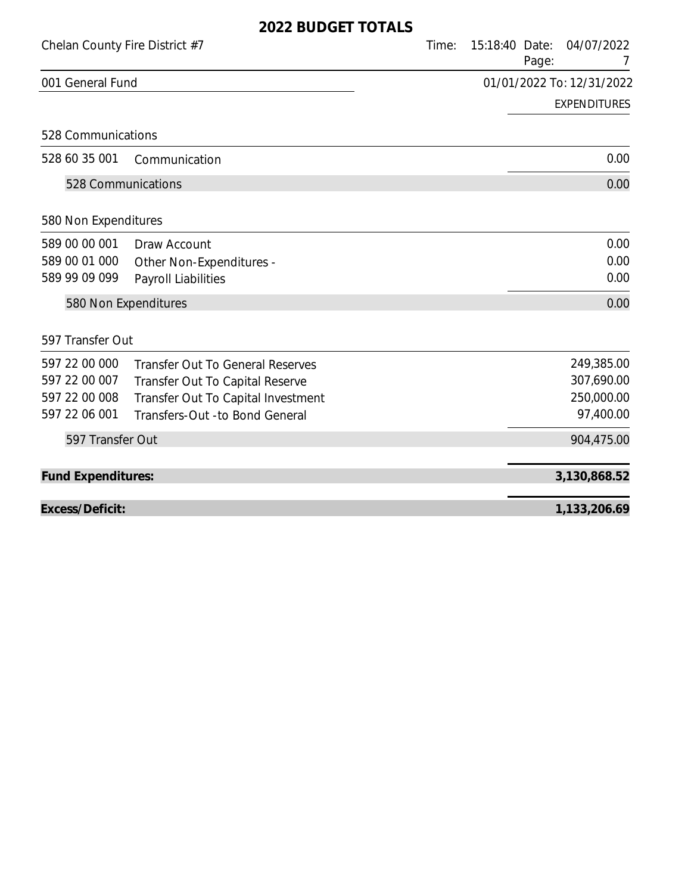|                                | VZZ DUDULI IUTILJ                       |       |                |       |                           |
|--------------------------------|-----------------------------------------|-------|----------------|-------|---------------------------|
| Chelan County Fire District #7 |                                         | Time: | 15:18:40 Date: | Page: | 04/07/2022<br>7           |
| 001 General Fund               |                                         |       |                |       | 01/01/2022 To: 12/31/2022 |
|                                |                                         |       |                |       | <b>EXPENDITURES</b>       |
| 528 Communications             |                                         |       |                |       |                           |
| 528 60 35 001                  | Communication                           |       |                |       | 0.00                      |
| 528 Communications             |                                         |       |                |       | 0.00                      |
| 580 Non Expenditures           |                                         |       |                |       |                           |
| 589 00 00 001                  | Draw Account                            |       |                |       | 0.00                      |
| 589 00 01 000                  | Other Non-Expenditures -                |       |                |       | 0.00                      |
| 589 99 09 099                  | Payroll Liabilities                     |       |                |       | 0.00                      |
|                                | 580 Non Expenditures                    |       |                |       | 0.00                      |
| 597 Transfer Out               |                                         |       |                |       |                           |
| 597 22 00 000                  | <b>Transfer Out To General Reserves</b> |       |                |       | 249,385.00                |
| 597 22 00 007                  | Transfer Out To Capital Reserve         |       |                |       | 307,690.00                |
| 597 22 00 008                  | Transfer Out To Capital Investment      |       |                |       | 250,000.00                |
| 597 22 06 001                  | Transfers-Out -to Bond General          |       |                |       | 97,400.00                 |
| 597 Transfer Out               |                                         |       |                |       | 904,475.00                |
| <b>Fund Expenditures:</b>      |                                         |       |                |       | 3,130,868.52              |
| Excess/Deficit:                |                                         |       |                |       | 1,133,206.69              |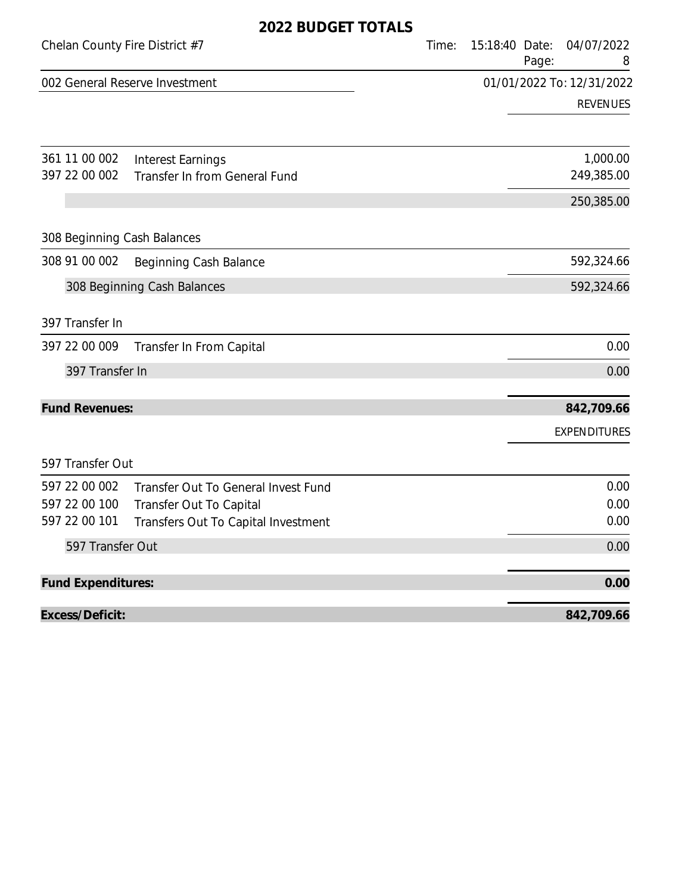|                                | ZUZZ DUDULI TUTALJ                  |       |                |       |                           |
|--------------------------------|-------------------------------------|-------|----------------|-------|---------------------------|
| Chelan County Fire District #7 |                                     | Time: | 15:18:40 Date: | Page: | 04/07/2022<br>8           |
|                                | 002 General Reserve Investment      |       |                |       | 01/01/2022 To: 12/31/2022 |
|                                |                                     |       |                |       | <b>REVENUES</b>           |
| 361 11 00 002                  | <b>Interest Earnings</b>            |       |                |       | 1,000.00                  |
| 397 22 00 002                  | Transfer In from General Fund       |       |                |       | 249,385.00                |
|                                |                                     |       |                |       | 250,385.00                |
| 308 Beginning Cash Balances    |                                     |       |                |       |                           |
| 308 91 00 002                  | Beginning Cash Balance              |       |                |       | 592,324.66                |
|                                | 308 Beginning Cash Balances         |       |                |       | 592,324.66                |
| 397 Transfer In                |                                     |       |                |       |                           |
| 397 22 00 009                  | Transfer In From Capital            |       |                |       | 0.00                      |
| 397 Transfer In                |                                     |       |                |       | 0.00                      |
| <b>Fund Revenues:</b>          |                                     |       |                |       | 842,709.66                |
|                                |                                     |       |                |       | <b>EXPENDITURES</b>       |
| 597 Transfer Out               |                                     |       |                |       |                           |
| 597 22 00 002                  | Transfer Out To General Invest Fund |       |                |       | 0.00                      |
| 597 22 00 100                  | Transfer Out To Capital             |       |                |       | 0.00                      |
| 597 22 00 101                  | Transfers Out To Capital Investment |       |                |       | 0.00                      |
| 597 Transfer Out               |                                     |       |                |       | 0.00                      |
| Fund Expenditures:             |                                     |       |                |       | 0.00                      |
| Excess/Deficit:                |                                     |       |                |       | 842,709.66                |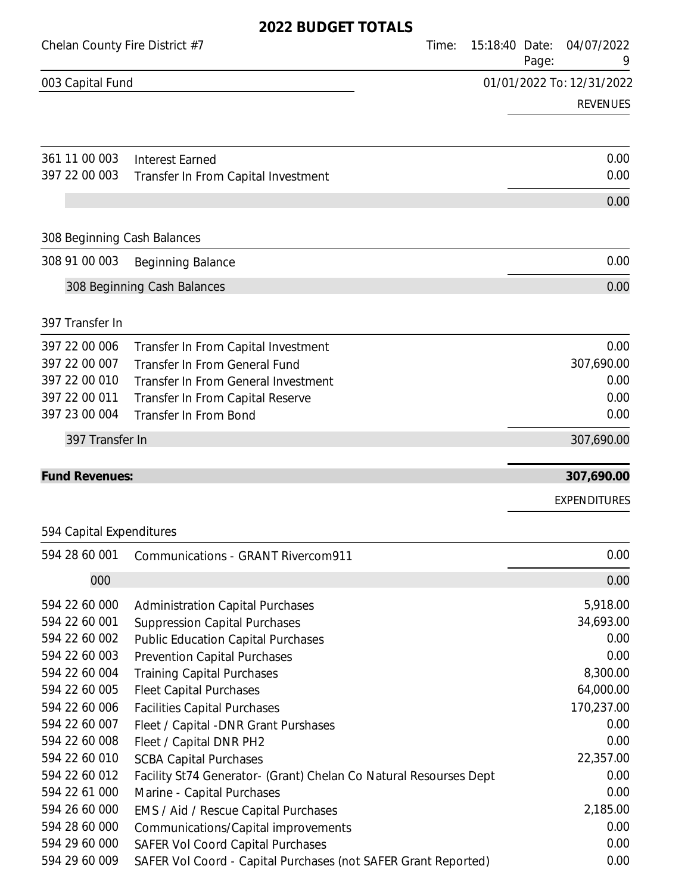| Chelan County Fire District #7 | Time:                                                             | 15:18:40 Date:<br>Page: | 04/07/2022<br>9           |
|--------------------------------|-------------------------------------------------------------------|-------------------------|---------------------------|
| 003 Capital Fund               |                                                                   |                         | 01/01/2022 To: 12/31/2022 |
|                                |                                                                   |                         | <b>REVENUES</b>           |
| 361 11 00 003                  | <b>Interest Earned</b>                                            |                         | 0.00                      |
| 397 22 00 003                  | Transfer In From Capital Investment                               |                         | 0.00                      |
|                                |                                                                   |                         | 0.00                      |
| 308 Beginning Cash Balances    |                                                                   |                         |                           |
| 308 91 00 003                  | Beginning Balance                                                 |                         | 0.00                      |
|                                | 308 Beginning Cash Balances                                       |                         | 0.00                      |
| 397 Transfer In                |                                                                   |                         |                           |
| 397 22 00 006                  | Transfer In From Capital Investment                               |                         | 0.00                      |
| 397 22 00 007                  | <b>Transfer In From General Fund</b>                              |                         | 307,690.00                |
| 397 22 00 010                  | Transfer In From General Investment                               |                         | 0.00                      |
| 397 22 00 011                  | Transfer In From Capital Reserve                                  |                         | 0.00                      |
| 397 23 00 004                  | Transfer In From Bond                                             |                         | 0.00                      |
| 397 Transfer In                |                                                                   |                         | 307,690.00                |
| <b>Fund Revenues:</b>          |                                                                   |                         | 307,690.00                |
|                                |                                                                   |                         | <b>EXPENDITURES</b>       |
| 594 Capital Expenditures       |                                                                   |                         |                           |
| 594 28 60 001                  | Communications - GRANT Rivercom911                                |                         | 0.00                      |
| 000                            |                                                                   |                         | 0.00                      |
| 594 22 60 000                  | <b>Administration Capital Purchases</b>                           |                         | 5,918.00                  |
| 594 22 60 001                  | <b>Suppression Capital Purchases</b>                              |                         | 34,693.00                 |
| 594 22 60 002                  | <b>Public Education Capital Purchases</b>                         |                         | 0.00                      |
| 594 22 60 003                  | <b>Prevention Capital Purchases</b>                               |                         | 0.00                      |
| 594 22 60 004                  | <b>Training Capital Purchases</b>                                 |                         | 8,300.00                  |
| 594 22 60 005                  | <b>Fleet Capital Purchases</b>                                    |                         | 64,000.00                 |
| 594 22 60 006                  | <b>Facilities Capital Purchases</b>                               |                         | 170,237.00                |
| 594 22 60 007                  | Fleet / Capital - DNR Grant Purshases                             |                         | 0.00                      |
| 594 22 60 008                  | Fleet / Capital DNR PH2                                           |                         | 0.00                      |
| 594 22 60 010                  | <b>SCBA Capital Purchases</b>                                     |                         | 22,357.00                 |
| 594 22 60 012                  | Facility St74 Generator- (Grant) Chelan Co Natural Resourses Dept |                         | 0.00                      |
| 594 22 61 000                  | Marine - Capital Purchases                                        |                         | 0.00                      |
| 594 26 60 000                  | EMS / Aid / Rescue Capital Purchases                              |                         | 2,185.00                  |
| 594 28 60 000                  | Communications/Capital improvements                               |                         | 0.00                      |
| 594 29 60 000                  | <b>SAFER Vol Coord Capital Purchases</b>                          |                         | 0.00                      |
| 594 29 60 009                  | SAFER Vol Coord - Capital Purchases (not SAFER Grant Reported)    |                         | 0.00                      |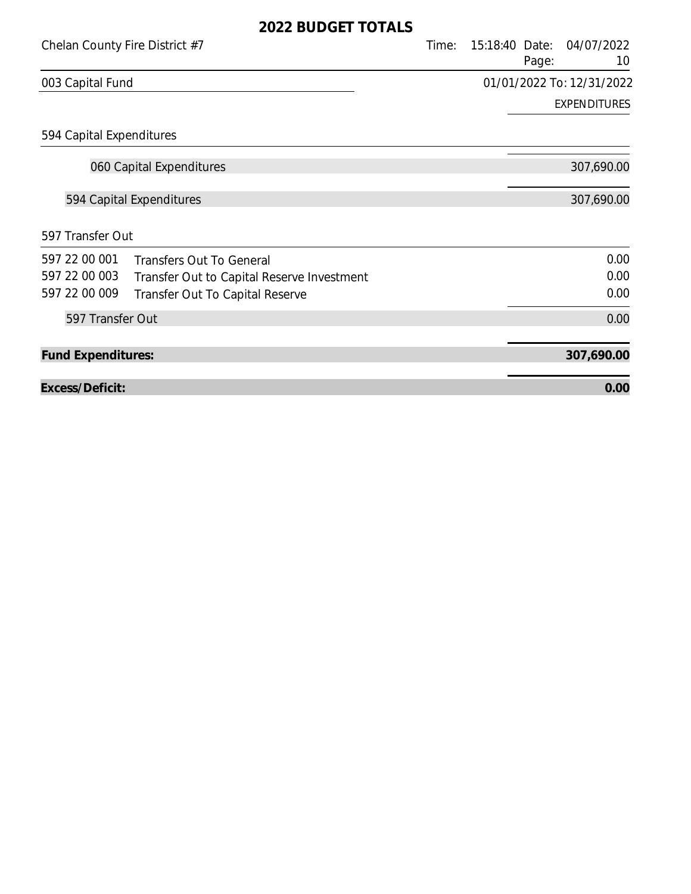| Chelan County Fire District #7 |                                            | Time: | 15:18:40 Date:<br>Page:   | 04/07/2022<br>10    |
|--------------------------------|--------------------------------------------|-------|---------------------------|---------------------|
| 003 Capital Fund               |                                            |       | 01/01/2022 To: 12/31/2022 |                     |
|                                |                                            |       |                           | <b>EXPENDITURES</b> |
| 594 Capital Expenditures       |                                            |       |                           |                     |
|                                | 060 Capital Expenditures                   |       |                           | 307,690.00          |
|                                | 594 Capital Expenditures                   |       |                           | 307,690.00          |
| 597 Transfer Out               |                                            |       |                           |                     |
| 597 22 00 001                  | <b>Transfers Out To General</b>            |       |                           | 0.00                |
| 597 22 00 003                  | Transfer Out to Capital Reserve Investment |       |                           | 0.00                |
| 597 22 00 009                  | Transfer Out To Capital Reserve            |       |                           | 0.00                |
| 597 Transfer Out               |                                            |       |                           | 0.00                |
| <b>Fund Expenditures:</b>      |                                            |       |                           | 307,690.00          |
| Excess/Deficit:                |                                            |       |                           | 0.00                |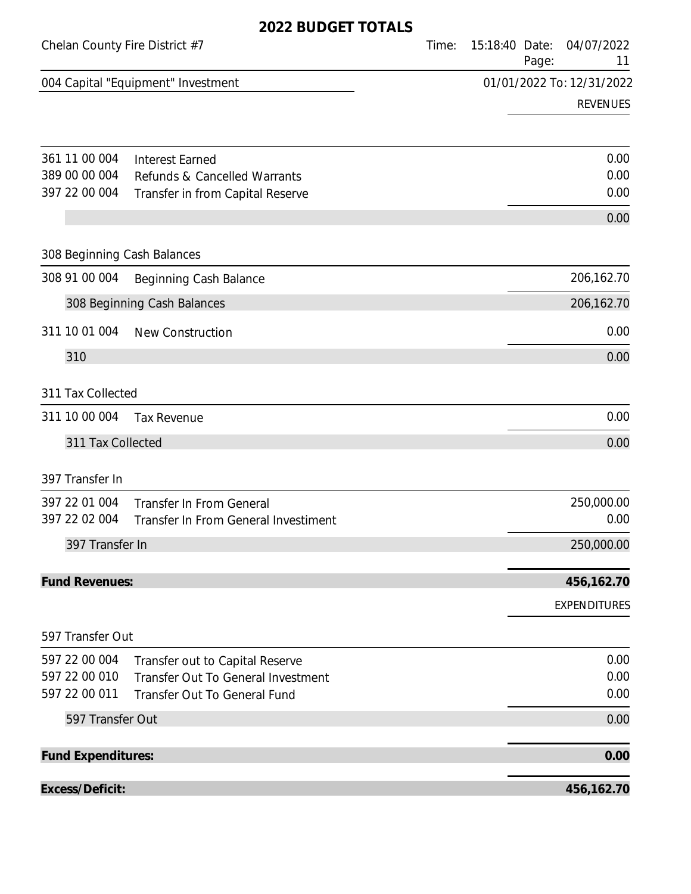| Chelan County Fire District #7 |                                      | Time: | 15:18:40 Date: | Page: | 04/07/2022<br>11          |
|--------------------------------|--------------------------------------|-------|----------------|-------|---------------------------|
|                                | 004 Capital "Equipment" Investment   |       |                |       | 01/01/2022 To: 12/31/2022 |
|                                |                                      |       |                |       | <b>REVENUES</b>           |
|                                |                                      |       |                |       |                           |
| 361 11 00 004                  | <b>Interest Earned</b>               |       |                |       | 0.00                      |
| 389 00 00 004                  | Refunds & Cancelled Warrants         |       |                |       | 0.00                      |
| 397 22 00 004                  | Transfer in from Capital Reserve     |       |                |       | 0.00                      |
|                                |                                      |       |                |       | 0.00                      |
| 308 Beginning Cash Balances    |                                      |       |                |       |                           |
| 308 91 00 004                  | Beginning Cash Balance               |       |                |       | 206,162.70                |
|                                | 308 Beginning Cash Balances          |       |                |       | 206,162.70                |
| 311 10 01 004                  | <b>New Construction</b>              |       |                |       | 0.00                      |
| 310                            |                                      |       |                |       | 0.00                      |
| 311 Tax Collected              |                                      |       |                |       |                           |
| 311 10 00 004                  | <b>Tax Revenue</b>                   |       |                |       | 0.00                      |
|                                |                                      |       |                |       |                           |
| 311 Tax Collected              |                                      |       |                |       | 0.00                      |
| 397 Transfer In                |                                      |       |                |       |                           |
| 397 22 01 004                  | <b>Transfer In From General</b>      |       |                |       | 250,000.00                |
| 397 22 02 004                  | Transfer In From General Investiment |       |                |       | 0.00                      |
| 397 Transfer In                |                                      |       |                |       | 250,000.00                |
| <b>Fund Revenues:</b>          |                                      |       |                |       | 456,162.70                |
|                                |                                      |       |                |       | <b>EXPENDITURES</b>       |
| 597 Transfer Out               |                                      |       |                |       |                           |
| 597 22 00 004                  | Transfer out to Capital Reserve      |       |                |       | 0.00                      |
| 597 22 00 010                  | Transfer Out To General Investment   |       |                |       | 0.00                      |
| 597 22 00 011                  | Transfer Out To General Fund         |       |                |       | 0.00                      |
| 597 Transfer Out               |                                      |       |                |       | 0.00                      |
| <b>Fund Expenditures:</b>      |                                      |       |                |       | 0.00                      |
| Excess/Deficit:                |                                      |       |                |       | 456,162.70                |
|                                |                                      |       |                |       |                           |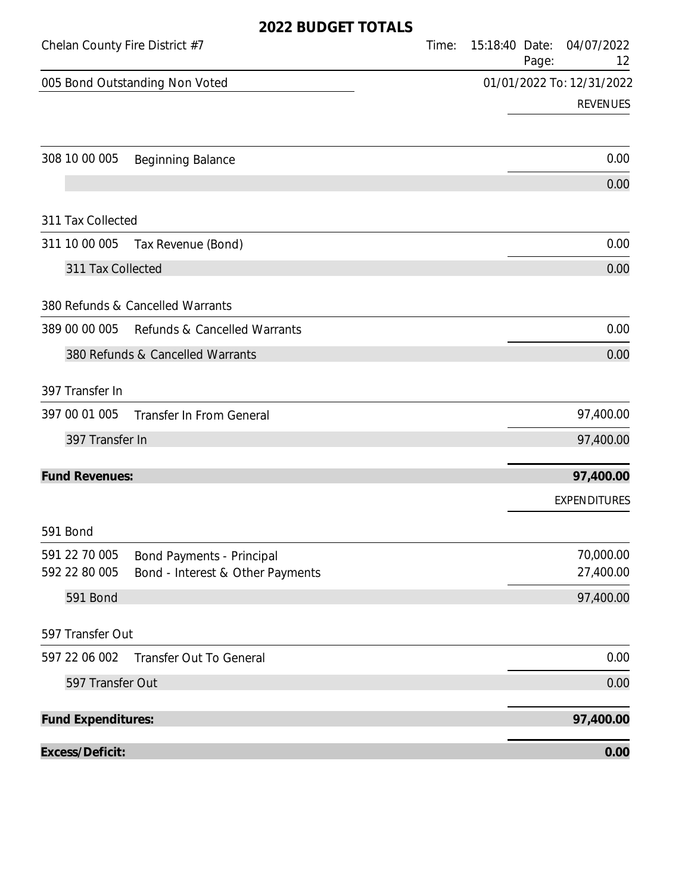| Chelan County Fire District #7 |                                                                      | Time: | 15:18:40 Date: | Page: | 04/07/2022<br>12          |
|--------------------------------|----------------------------------------------------------------------|-------|----------------|-------|---------------------------|
|                                | 005 Bond Outstanding Non Voted                                       |       |                |       | 01/01/2022 To: 12/31/2022 |
|                                |                                                                      |       |                |       | <b>REVENUES</b>           |
| 308 10 00 005                  | <b>Beginning Balance</b>                                             |       |                |       | 0.00                      |
|                                |                                                                      |       |                |       | 0.00                      |
| 311 Tax Collected              |                                                                      |       |                |       |                           |
| 311 10 00 005                  | Tax Revenue (Bond)                                                   |       |                |       | 0.00                      |
| 311 Tax Collected              |                                                                      |       |                |       | 0.00                      |
|                                | 380 Refunds & Cancelled Warrants                                     |       |                |       |                           |
| 389 00 00 005                  | Refunds & Cancelled Warrants                                         |       |                |       | 0.00                      |
|                                | 380 Refunds & Cancelled Warrants                                     |       |                |       | 0.00                      |
| 397 Transfer In                |                                                                      |       |                |       |                           |
| 397 00 01 005                  | <b>Transfer In From General</b>                                      |       |                |       | 97,400.00                 |
| 397 Transfer In                |                                                                      |       |                |       | 97,400.00                 |
| <b>Fund Revenues:</b>          |                                                                      |       |                |       | 97,400.00                 |
|                                |                                                                      |       |                |       | <b>EXPENDITURES</b>       |
| 591 Bond                       |                                                                      |       |                |       |                           |
| 591 22 70 005<br>592 22 80 005 | <b>Bond Payments - Principal</b><br>Bond - Interest & Other Payments |       |                |       | 70,000.00<br>27,400.00    |
| 591 Bond                       |                                                                      |       |                |       | 97,400.00                 |
| 597 Transfer Out               |                                                                      |       |                |       |                           |
| 597 22 06 002                  | <b>Transfer Out To General</b>                                       |       |                |       | 0.00                      |
| 597 Transfer Out               |                                                                      |       |                |       | 0.00                      |
| <b>Fund Expenditures:</b>      |                                                                      |       |                |       | 97,400.00                 |
| Excess/Deficit:                |                                                                      |       |                |       | 0.00                      |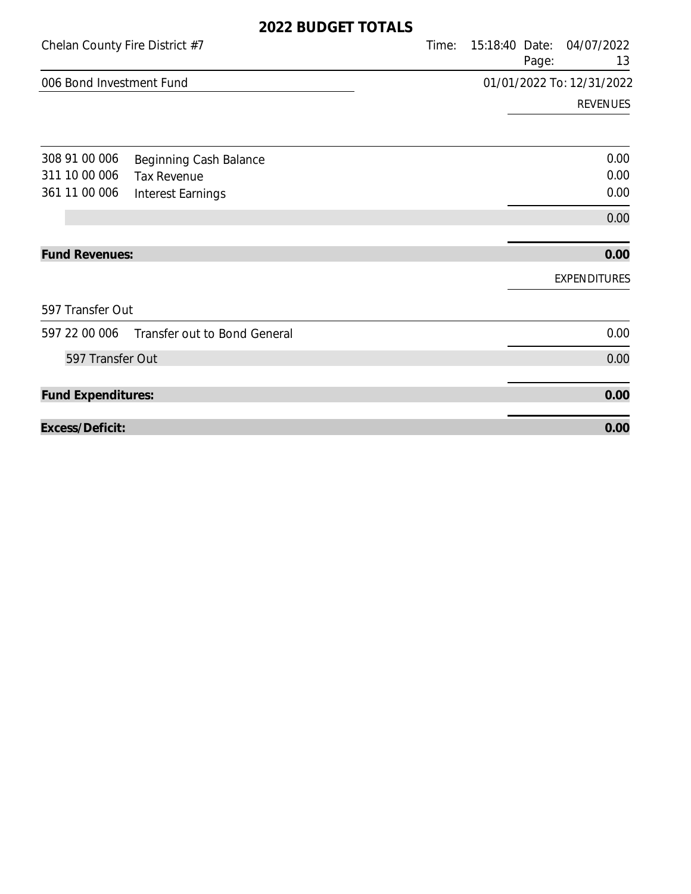|                                | ZUZZ DUDULI IUIILU           |                           |       |                         |                     |
|--------------------------------|------------------------------|---------------------------|-------|-------------------------|---------------------|
| Chelan County Fire District #7 |                              |                           | Time: | 15:18:40 Date:<br>Page: | 04/07/2022<br>13    |
| 006 Bond Investment Fund       |                              | 01/01/2022 To: 12/31/2022 |       |                         |                     |
|                                |                              |                           |       |                         | <b>REVENUES</b>     |
| 308 91 00 006                  | Beginning Cash Balance       |                           |       |                         | 0.00                |
| 311 10 00 006                  | <b>Tax Revenue</b>           |                           |       |                         | 0.00                |
| 361 11 00 006                  | <b>Interest Earnings</b>     |                           |       |                         | 0.00                |
|                                |                              |                           |       |                         | 0.00                |
| <b>Fund Revenues:</b>          |                              |                           |       |                         | 0.00                |
|                                |                              |                           |       |                         | <b>EXPENDITURES</b> |
| 597 Transfer Out               |                              |                           |       |                         |                     |
| 597 22 00 006                  | Transfer out to Bond General |                           |       |                         | 0.00                |
| 597 Transfer Out               |                              |                           |       |                         | 0.00                |
| <b>Fund Expenditures:</b>      |                              |                           |       |                         | 0.00                |
| Excess/Deficit:                |                              |                           |       |                         | 0.00                |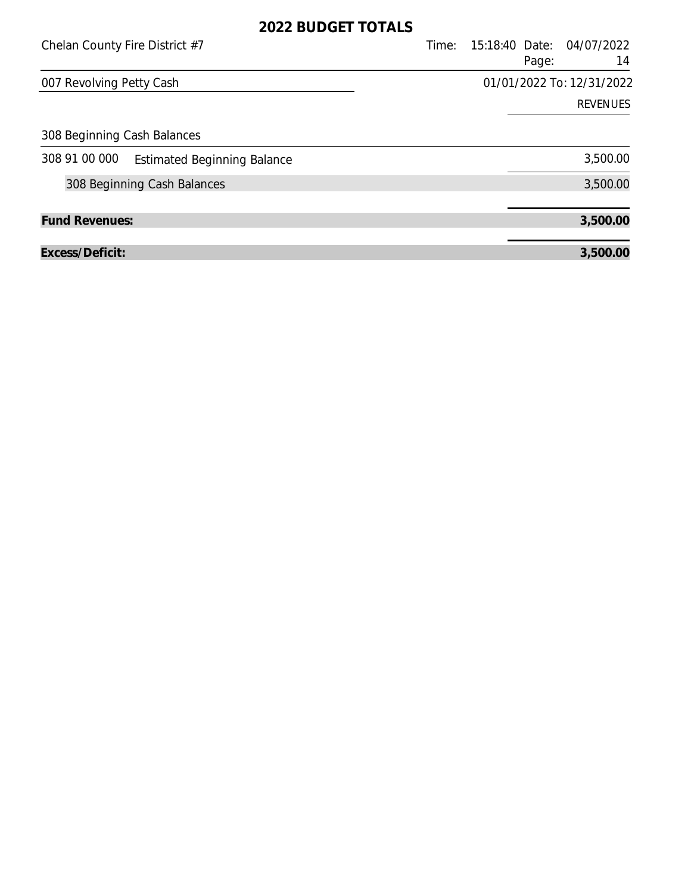| Chelan County Fire District #7                      | 15:18:40 Date: 04/07/2022<br>Time:<br>Page: | 14              |
|-----------------------------------------------------|---------------------------------------------|-----------------|
| 007 Revolving Petty Cash                            | 01/01/2022 To: 12/31/2022                   |                 |
|                                                     |                                             | <b>REVENUES</b> |
| 308 Beginning Cash Balances                         |                                             |                 |
| 308 91 00 000<br><b>Estimated Beginning Balance</b> |                                             | 3,500.00        |
| 308 Beginning Cash Balances                         |                                             | 3,500.00        |
| <b>Fund Revenues:</b>                               |                                             | 3,500.00        |
| Excess/Deficit:                                     |                                             | 3,500.00        |